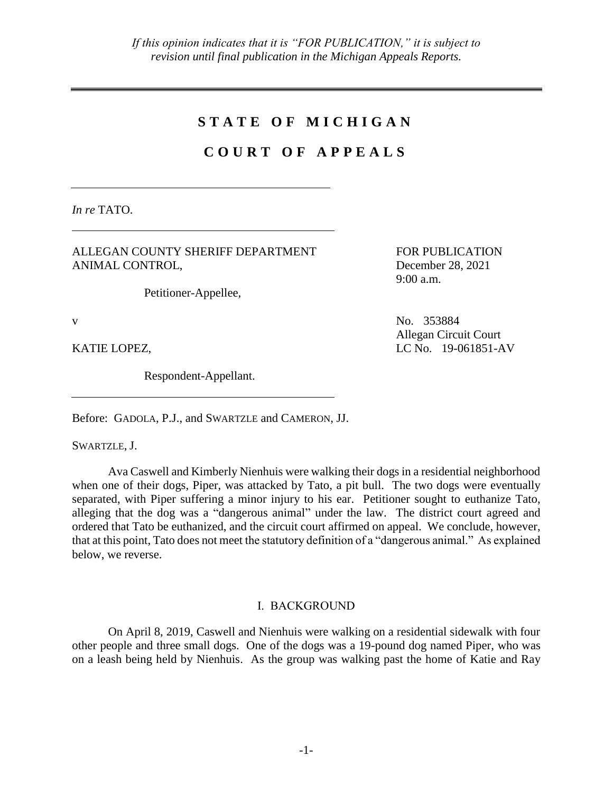## **S T A T E O F M I C H I G A N**

# **C O U R T O F A P P E A L S**

*In re* TATO.

ALLEGAN COUNTY SHERIFF DEPARTMENT ANIMAL CONTROL,

Petitioner-Appellee,

Respondent-Appellant.

Before: GADOLA, P.J., and SWARTZLE and CAMERON, JJ.

SWARTZLE, J.

Ava Caswell and Kimberly Nienhuis were walking their dogs in a residential neighborhood when one of their dogs, Piper, was attacked by Tato, a pit bull. The two dogs were eventually separated, with Piper suffering a minor injury to his ear. Petitioner sought to euthanize Tato, alleging that the dog was a "dangerous animal" under the law. The district court agreed and ordered that Tato be euthanized, and the circuit court affirmed on appeal. We conclude, however, that at this point, Tato does not meet the statutory definition of a "dangerous animal." As explained below, we reverse.

#### I. BACKGROUND

On April 8, 2019, Caswell and Nienhuis were walking on a residential sidewalk with four other people and three small dogs. One of the dogs was a 19-pound dog named Piper, who was on a leash being held by Nienhuis. As the group was walking past the home of Katie and Ray

FOR PUBLICATION December 28, 2021 9:00 a.m.

v No. 353884 Allegan Circuit Court KATIE LOPEZ, LC No. 19-061851-AV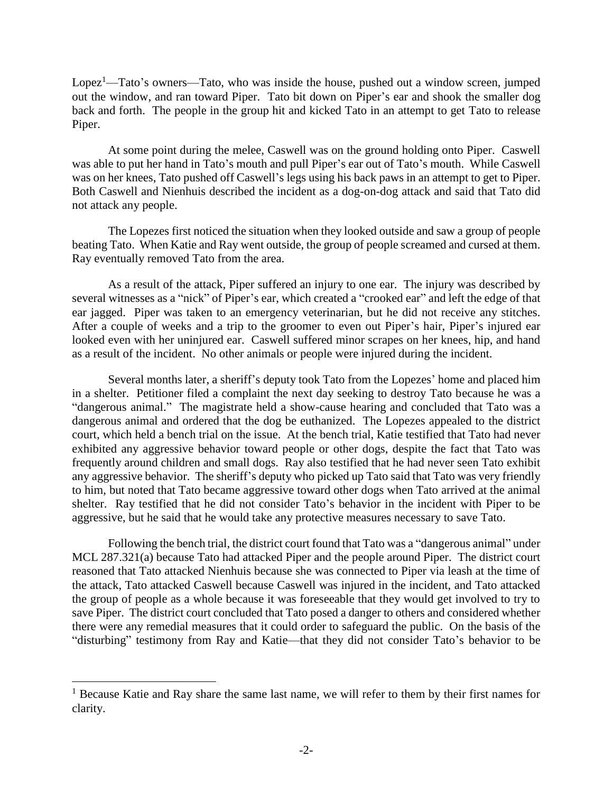Lopez<sup>1</sup>—Tato's owners—Tato, who was inside the house, pushed out a window screen, jumped out the window, and ran toward Piper. Tato bit down on Piper's ear and shook the smaller dog back and forth. The people in the group hit and kicked Tato in an attempt to get Tato to release Piper.

At some point during the melee, Caswell was on the ground holding onto Piper. Caswell was able to put her hand in Tato's mouth and pull Piper's ear out of Tato's mouth. While Caswell was on her knees, Tato pushed off Caswell's legs using his back paws in an attempt to get to Piper. Both Caswell and Nienhuis described the incident as a dog-on-dog attack and said that Tato did not attack any people.

The Lopezes first noticed the situation when they looked outside and saw a group of people beating Tato. When Katie and Ray went outside, the group of people screamed and cursed at them. Ray eventually removed Tato from the area.

As a result of the attack, Piper suffered an injury to one ear. The injury was described by several witnesses as a "nick" of Piper's ear, which created a "crooked ear" and left the edge of that ear jagged. Piper was taken to an emergency veterinarian, but he did not receive any stitches. After a couple of weeks and a trip to the groomer to even out Piper's hair, Piper's injured ear looked even with her uninjured ear. Caswell suffered minor scrapes on her knees, hip, and hand as a result of the incident. No other animals or people were injured during the incident.

Several months later, a sheriff's deputy took Tato from the Lopezes' home and placed him in a shelter. Petitioner filed a complaint the next day seeking to destroy Tato because he was a "dangerous animal." The magistrate held a show-cause hearing and concluded that Tato was a dangerous animal and ordered that the dog be euthanized. The Lopezes appealed to the district court, which held a bench trial on the issue. At the bench trial, Katie testified that Tato had never exhibited any aggressive behavior toward people or other dogs, despite the fact that Tato was frequently around children and small dogs. Ray also testified that he had never seen Tato exhibit any aggressive behavior. The sheriff's deputy who picked up Tato said that Tato was very friendly to him, but noted that Tato became aggressive toward other dogs when Tato arrived at the animal shelter. Ray testified that he did not consider Tato's behavior in the incident with Piper to be aggressive, but he said that he would take any protective measures necessary to save Tato.

Following the bench trial, the district court found that Tato was a "dangerous animal" under MCL 287.321(a) because Tato had attacked Piper and the people around Piper. The district court reasoned that Tato attacked Nienhuis because she was connected to Piper via leash at the time of the attack, Tato attacked Caswell because Caswell was injured in the incident, and Tato attacked the group of people as a whole because it was foreseeable that they would get involved to try to save Piper. The district court concluded that Tato posed a danger to others and considered whether there were any remedial measures that it could order to safeguard the public. On the basis of the "disturbing" testimony from Ray and Katie—that they did not consider Tato's behavior to be

 $\overline{a}$ 

<sup>&</sup>lt;sup>1</sup> Because Katie and Ray share the same last name, we will refer to them by their first names for clarity.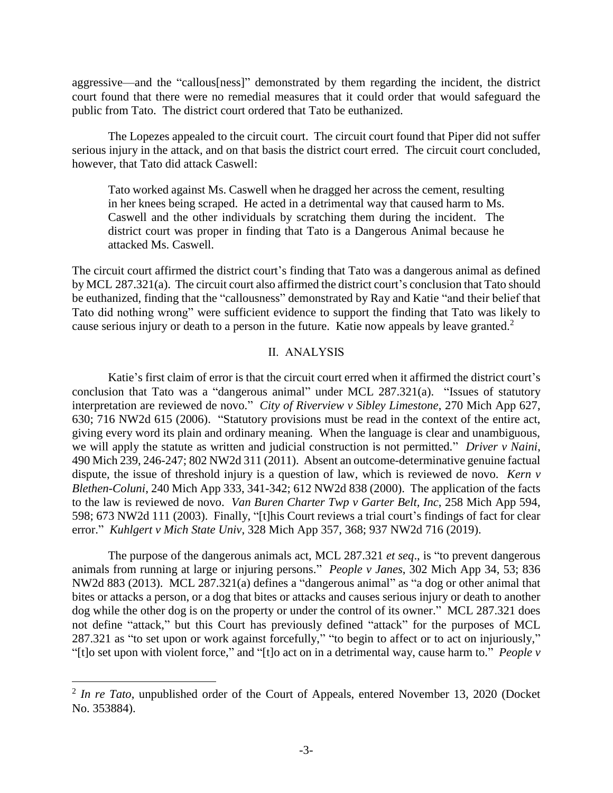aggressive—and the "callous[ness]" demonstrated by them regarding the incident, the district court found that there were no remedial measures that it could order that would safeguard the public from Tato. The district court ordered that Tato be euthanized.

The Lopezes appealed to the circuit court. The circuit court found that Piper did not suffer serious injury in the attack, and on that basis the district court erred. The circuit court concluded, however, that Tato did attack Caswell:

Tato worked against Ms. Caswell when he dragged her across the cement, resulting in her knees being scraped. He acted in a detrimental way that caused harm to Ms. Caswell and the other individuals by scratching them during the incident. The district court was proper in finding that Tato is a Dangerous Animal because he attacked Ms. Caswell.

The circuit court affirmed the district court's finding that Tato was a dangerous animal as defined by MCL 287.321(a). The circuit court also affirmed the district court's conclusion that Tato should be euthanized, finding that the "callousness" demonstrated by Ray and Katie "and their belief that Tato did nothing wrong" were sufficient evidence to support the finding that Tato was likely to cause serious injury or death to a person in the future. Katie now appeals by leave granted.<sup>2</sup>

#### II. ANALYSIS

Katie's first claim of error is that the circuit court erred when it affirmed the district court's conclusion that Tato was a "dangerous animal" under MCL 287.321(a). "Issues of statutory interpretation are reviewed de novo." *City of Riverview v Sibley Limestone*, 270 Mich App 627, 630; 716 NW2d 615 (2006). "Statutory provisions must be read in the context of the entire act, giving every word its plain and ordinary meaning. When the language is clear and unambiguous, we will apply the statute as written and judicial construction is not permitted." *Driver v Naini*, 490 Mich 239, 246-247; 802 NW2d 311 (2011). Absent an outcome-determinative genuine factual dispute, the issue of threshold injury is a question of law, which is reviewed de novo. *Kern v Blethen-Coluni*, 240 Mich App 333, 341-342; 612 NW2d 838 (2000). The application of the facts to the law is reviewed de novo. *Van Buren Charter Twp v Garter Belt, Inc*, 258 Mich App 594, 598; 673 NW2d 111 (2003). Finally, "[t]his Court reviews a trial court's findings of fact for clear error." *Kuhlgert v Mich State Univ*, 328 Mich App 357, 368; 937 NW2d 716 (2019).

The purpose of the dangerous animals act, MCL 287.321 *et seq*., is "to prevent dangerous animals from running at large or injuring persons." *People v Janes*, 302 Mich App 34, 53; 836 NW2d 883 (2013). MCL 287.321(a) defines a "dangerous animal" as "a dog or other animal that bites or attacks a person, or a dog that bites or attacks and causes serious injury or death to another dog while the other dog is on the property or under the control of its owner." MCL 287.321 does not define "attack," but this Court has previously defined "attack" for the purposes of MCL 287.321 as "to set upon or work against forcefully," "to begin to affect or to act on injuriously," "[t]o set upon with violent force," and "[t]o act on in a detrimental way, cause harm to." *People v* 

 $\overline{a}$ 

<sup>&</sup>lt;sup>2</sup> In re Tato, unpublished order of the Court of Appeals, entered November 13, 2020 (Docket No. 353884).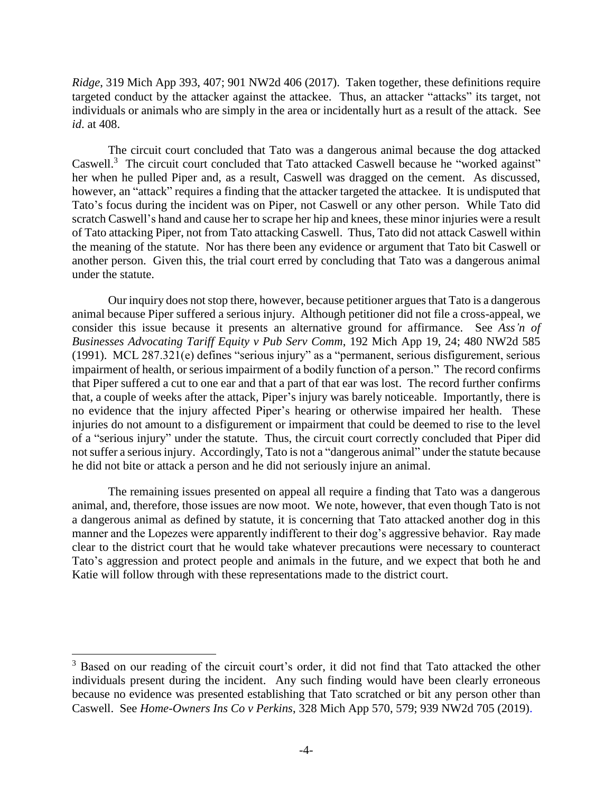*Ridge*, 319 Mich App 393, 407; 901 NW2d 406 (2017). Taken together, these definitions require targeted conduct by the attacker against the attackee. Thus, an attacker "attacks" its target, not individuals or animals who are simply in the area or incidentally hurt as a result of the attack. See *id*. at 408.

The circuit court concluded that Tato was a dangerous animal because the dog attacked Caswell.<sup>3</sup> The circuit court concluded that Tato attacked Caswell because he "worked against" her when he pulled Piper and, as a result, Caswell was dragged on the cement. As discussed, however, an "attack" requires a finding that the attacker targeted the attackee. It is undisputed that Tato's focus during the incident was on Piper, not Caswell or any other person. While Tato did scratch Caswell's hand and cause her to scrape her hip and knees, these minor injuries were a result of Tato attacking Piper, not from Tato attacking Caswell. Thus, Tato did not attack Caswell within the meaning of the statute. Nor has there been any evidence or argument that Tato bit Caswell or another person. Given this, the trial court erred by concluding that Tato was a dangerous animal under the statute.

Our inquiry does not stop there, however, because petitioner argues that Tato is a dangerous animal because Piper suffered a serious injury. Although petitioner did not file a cross-appeal, we consider this issue because it presents an alternative ground for affirmance. See *Ass'n of Businesses Advocating Tariff Equity v Pub Serv Comm*, 192 Mich App 19, 24; 480 NW2d 585 (1991). MCL 287.321(e) defines "serious injury" as a "permanent, serious disfigurement, serious impairment of health, or serious impairment of a bodily function of a person." The record confirms that Piper suffered a cut to one ear and that a part of that ear was lost. The record further confirms that, a couple of weeks after the attack, Piper's injury was barely noticeable. Importantly, there is no evidence that the injury affected Piper's hearing or otherwise impaired her health. These injuries do not amount to a disfigurement or impairment that could be deemed to rise to the level of a "serious injury" under the statute. Thus, the circuit court correctly concluded that Piper did not suffer a serious injury. Accordingly, Tato is not a "dangerous animal" under the statute because he did not bite or attack a person and he did not seriously injure an animal.

The remaining issues presented on appeal all require a finding that Tato was a dangerous animal, and, therefore, those issues are now moot. We note, however, that even though Tato is not a dangerous animal as defined by statute, it is concerning that Tato attacked another dog in this manner and the Lopezes were apparently indifferent to their dog's aggressive behavior. Ray made clear to the district court that he would take whatever precautions were necessary to counteract Tato's aggression and protect people and animals in the future, and we expect that both he and Katie will follow through with these representations made to the district court.

 $\overline{a}$ 

<sup>&</sup>lt;sup>3</sup> Based on our reading of the circuit court's order, it did not find that Tato attacked the other individuals present during the incident. Any such finding would have been clearly erroneous because no evidence was presented establishing that Tato scratched or bit any person other than Caswell. See *Home-Owners Ins Co v Perkins*, 328 Mich App 570, 579; 939 NW2d 705 (2019).